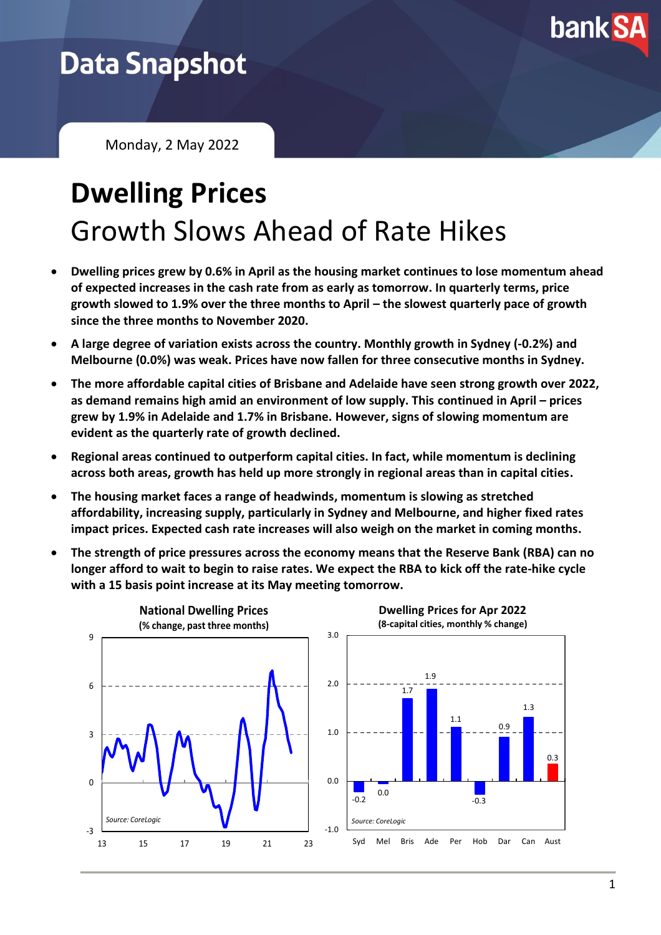

## **Data Snapshot**

Monday, 2 May 2022

# **Dwelling Prices** Growth Slows Ahead of Rate Hikes

- **Dwelling prices grew by 0.6% in April as the housing market continues to lose momentum ahead of expected increases in the cash rate from as early as tomorrow. In quarterly terms, price growth slowed to 1.9% over the three months to April – the slowest quarterly pace of growth since the three months to November 2020.**
- **A large degree of variation exists across the country. Monthly growth in Sydney (-0.2%) and Melbourne (0.0%) was weak. Prices have now fallen for three consecutive months in Sydney.**
- **The more affordable capital cities of Brisbane and Adelaide have seen strong growth over 2022, as demand remains high amid an environment of low supply. This continued in April – prices grew by 1.9% in Adelaide and 1.7% in Brisbane. However, signs of slowing momentum are evident as the quarterly rate of growth declined.**
- **Regional areas continued to outperform capital cities. In fact, while momentum is declining across both areas, growth has held up more strongly in regional areas than in capital cities.**
- **The housing market faces a range of headwinds, momentum is slowing as stretched affordability, increasing supply, particularly in Sydney and Melbourne, and higher fixed rates impact prices. Expected cash rate increases will also weigh on the market in coming months.**
- **The strength of price pressures across the economy means that the Reserve Bank (RBA) can no longer afford to wait to begin to raise rates. We expect the RBA to kick off the rate-hike cycle with a 15 basis point increase at its May meeting tomorrow.**

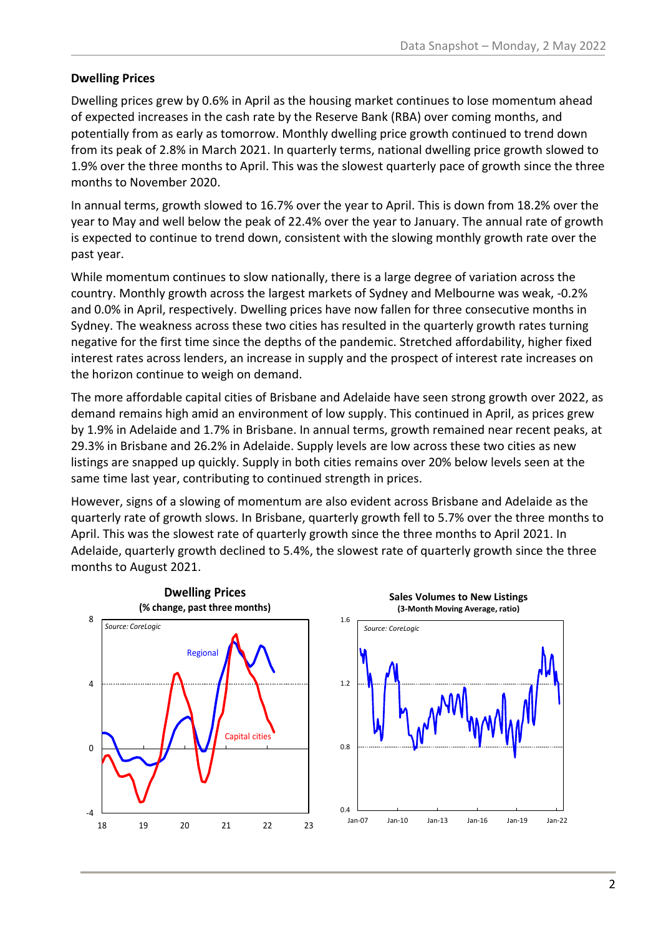#### **Dwelling Prices**

Dwelling prices grew by 0.6% in April as the housing market continues to lose momentum ahead of expected increases in the cash rate by the Reserve Bank (RBA) over coming months, and potentially from as early as tomorrow. Monthly dwelling price growth continued to trend down from its peak of 2.8% in March 2021. In quarterly terms, national dwelling price growth slowed to 1.9% over the three months to April. This was the slowest quarterly pace of growth since the three months to November 2020.

In annual terms, growth slowed to 16.7% over the year to April. This is down from 18.2% over the year to May and well below the peak of 22.4% over the year to January. The annual rate of growth is expected to continue to trend down, consistent with the slowing monthly growth rate over the past year.

While momentum continues to slow nationally, there is a large degree of variation across the country. Monthly growth across the largest markets of Sydney and Melbourne was weak, -0.2% and 0.0% in April, respectively. Dwelling prices have now fallen for three consecutive months in Sydney. The weakness across these two cities has resulted in the quarterly growth rates turning negative for the first time since the depths of the pandemic. Stretched affordability, higher fixed interest rates across lenders, an increase in supply and the prospect of interest rate increases on the horizon continue to weigh on demand.

The more affordable capital cities of Brisbane and Adelaide have seen strong growth over 2022, as demand remains high amid an environment of low supply. This continued in April, as prices grew by 1.9% in Adelaide and 1.7% in Brisbane. In annual terms, growth remained near recent peaks, at 29.3% in Brisbane and 26.2% in Adelaide. Supply levels are low across these two cities as new listings are snapped up quickly. Supply in both cities remains over 20% below levels seen at the same time last year, contributing to continued strength in prices.

However, signs of a slowing of momentum are also evident across Brisbane and Adelaide as the quarterly rate of growth slows. In Brisbane, quarterly growth fell to 5.7% over the three months to April. This was the slowest rate of quarterly growth since the three months to April 2021. In Adelaide, quarterly growth declined to 5.4%, the slowest rate of quarterly growth since the three months to August 2021.

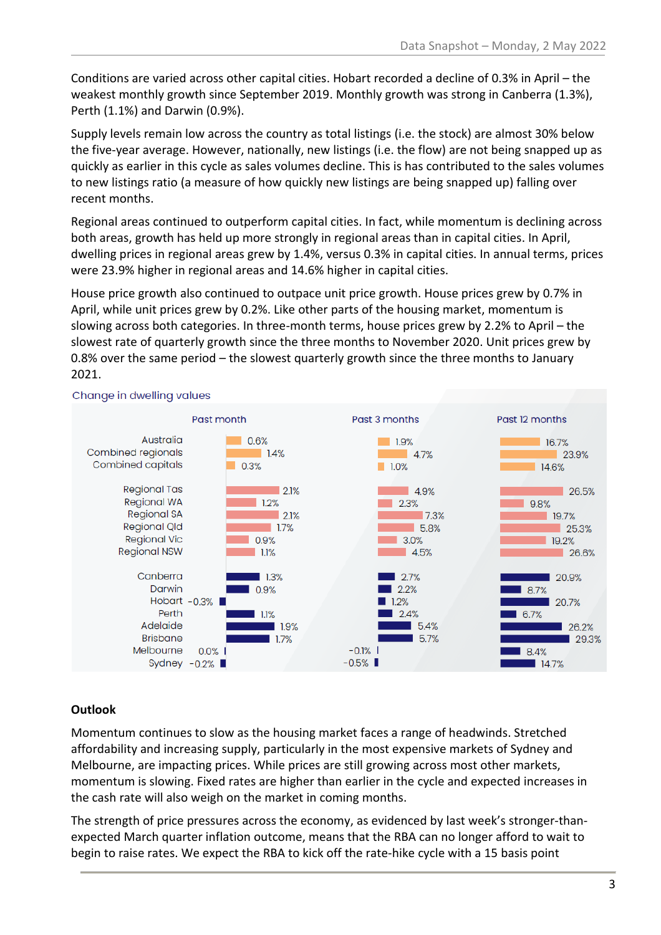Conditions are varied across other capital cities. Hobart recorded a decline of 0.3% in April – the weakest monthly growth since September 2019. Monthly growth was strong in Canberra (1.3%), Perth (1.1%) and Darwin (0.9%).

Supply levels remain low across the country as total listings (i.e. the stock) are almost 30% below the five-year average. However, nationally, new listings (i.e. the flow) are not being snapped up as quickly as earlier in this cycle as sales volumes decline. This is has contributed to the sales volumes to new listings ratio (a measure of how quickly new listings are being snapped up) falling over recent months.

Regional areas continued to outperform capital cities. In fact, while momentum is declining across both areas, growth has held up more strongly in regional areas than in capital cities. In April, dwelling prices in regional areas grew by 1.4%, versus 0.3% in capital cities. In annual terms, prices were 23.9% higher in regional areas and 14.6% higher in capital cities.

House price growth also continued to outpace unit price growth. House prices grew by 0.7% in April, while unit prices grew by 0.2%. Like other parts of the housing market, momentum is slowing across both categories. In three-month terms, house prices grew by 2.2% to April – the slowest rate of quarterly growth since the three months to November 2020. Unit prices grew by 0.8% over the same period – the slowest quarterly growth since the three months to January 2021.



#### Change in dwelling values

#### **Outlook**

Momentum continues to slow as the housing market faces a range of headwinds. Stretched affordability and increasing supply, particularly in the most expensive markets of Sydney and Melbourne, are impacting prices. While prices are still growing across most other markets, momentum is slowing. Fixed rates are higher than earlier in the cycle and expected increases in the cash rate will also weigh on the market in coming months.

The strength of price pressures across the economy, as evidenced by last week's stronger-thanexpected March quarter inflation outcome, means that the RBA can no longer afford to wait to begin to raise rates. We expect the RBA to kick off the rate-hike cycle with a 15 basis point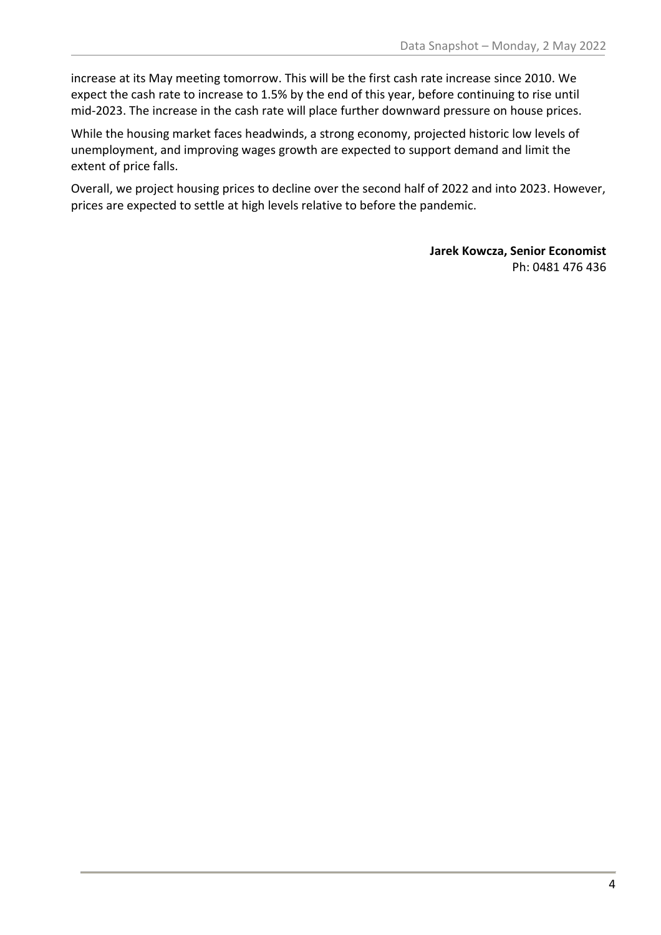increase at its May meeting tomorrow. This will be the first cash rate increase since 2010. We expect the cash rate to increase to 1.5% by the end of this year, before continuing to rise until mid-2023. The increase in the cash rate will place further downward pressure on house prices.

While the housing market faces headwinds, a strong economy, projected historic low levels of unemployment, and improving wages growth are expected to support demand and limit the extent of price falls.

Overall, we project housing prices to decline over the second half of 2022 and into 2023. However, prices are expected to settle at high levels relative to before the pandemic.

> **Jarek Kowcza, Senior Economist** Ph: 0481 476 436